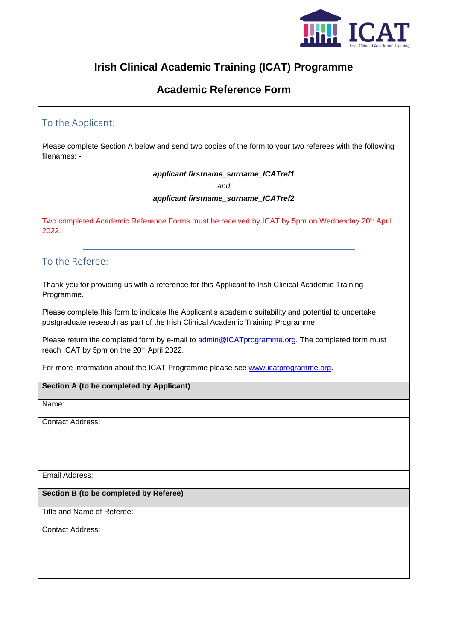

# **Irish Clinical Academic Training (ICAT) Programme**

## **Academic Reference Form**

## To the Applicant:

Please complete Section A below and send two copies of the form to your two referees with the following filenames: -

*applicant firstname\_surname\_ICATref1*

*and*

*applicant firstname\_surname\_ICATref2*

Two completed Academic Reference Forms must be received by ICAT by 5pm on Wednesday 20<sup>th</sup> April 2022.

### To the Referee:

Thank-you for providing us with a reference for this Applicant to Irish Clinical Academic Training Programme.

Please complete this form to indicate the Applicant's academic suitability and potential to undertake postgraduate research as part of the Irish Clinical Academic Training Programme.

Please return the completed form by e-mail to [admin@ICATprogramme.org.](mailto:admin@ICATprogramme.org) The completed form must reach ICAT by 5pm on the 20<sup>th</sup> April 2022.

For more information about the ICAT Programme please see [www.icatprogramme.org.](http://www.icatprogramme.org/)

#### **Section A (to be completed by Applicant)**

Name:

Contact Address:

Email Address:

#### **Section B (to be completed by Referee)**

Title and Name of Referee:

Contact Address: